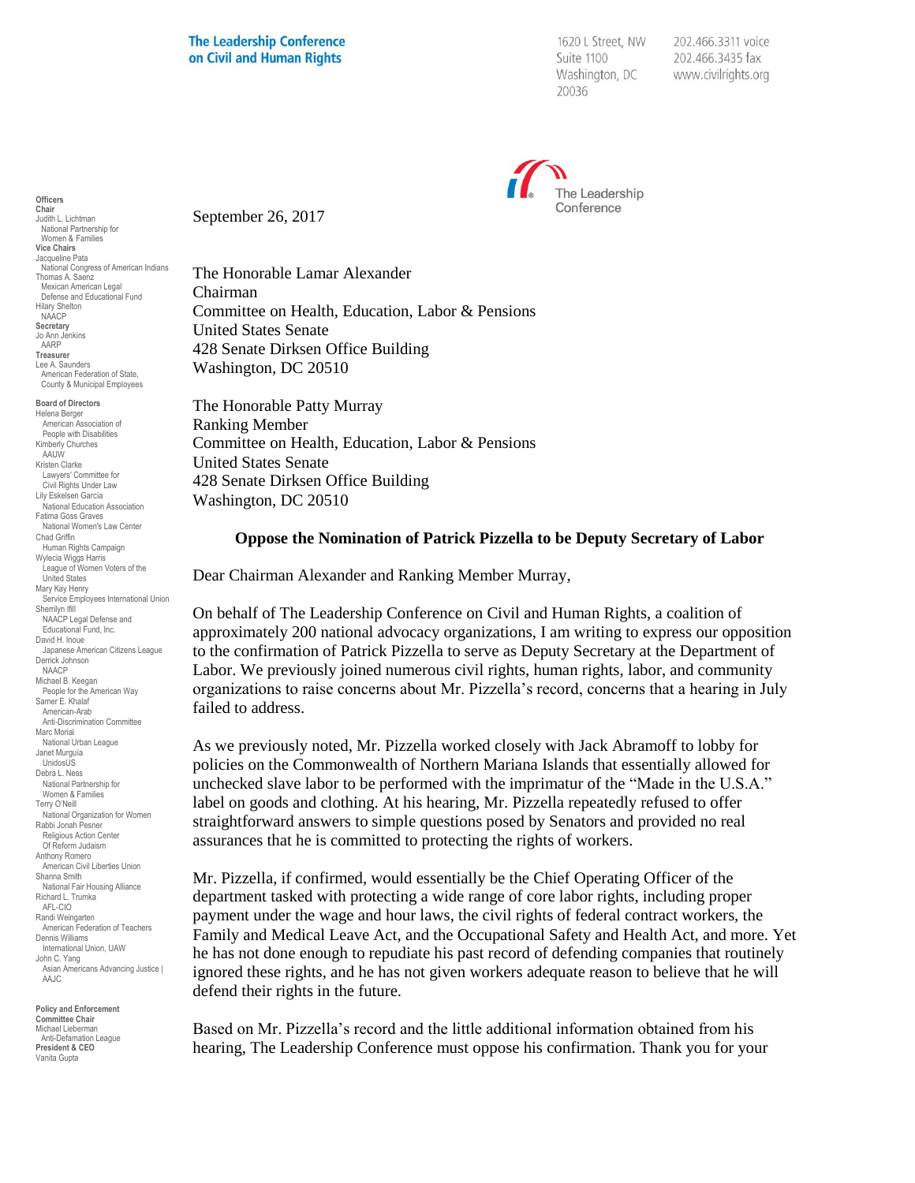1620 L Street, NW Suite 1100 Washington, DC 20036

202.466.3311 voice 202.466.3435 fax www.civilrights.org



September 26, 2017

The Honorable Lamar Alexander Chairman Committee on Health, Education, Labor & Pensions United States Senate 428 Senate Dirksen Office Building Washington, DC 20510

The Honorable Patty Murray Ranking Member Committee on Health, Education, Labor & Pensions United States Senate 428 Senate Dirksen Office Building Washington, DC 20510

## **Oppose the Nomination of Patrick Pizzella to be Deputy Secretary of Labor**

Dear Chairman Alexander and Ranking Member Murray,

On behalf of The Leadership Conference on Civil and Human Rights, a coalition of approximately 200 national advocacy organizations, I am writing to express our opposition to the confirmation of Patrick Pizzella to serve as Deputy Secretary at the Department of Labor. We previously joined numerous civil rights, human rights, labor, and community organizations to raise concerns about Mr. Pizzella's record, concerns that a hearing in July failed to address.

As we previously noted, Mr. Pizzella worked closely with Jack Abramoff to lobby for policies on the Commonwealth of Northern Mariana Islands that essentially allowed for unchecked slave labor to be performed with the imprimatur of the "Made in the U.S.A." label on goods and clothing. At his hearing, Mr. Pizzella repeatedly refused to offer straightforward answers to simple questions posed by Senators and provided no real assurances that he is committed to protecting the rights of workers.

Mr. Pizzella, if confirmed, would essentially be the Chief Operating Officer of the department tasked with protecting a wide range of core labor rights, including proper payment under the wage and hour laws, the civil rights of federal contract workers, the Family and Medical Leave Act, and the Occupational Safety and Health Act, and more. Yet he has not done enough to repudiate his past record of defending companies that routinely ignored these rights, and he has not given workers adequate reason to believe that he will defend their rights in the future.

Based on Mr. Pizzella's record and the little additional information obtained from his hearing, The Leadership Conference must oppose his confirmation. Thank you for your

**Chair** Judith L. Lichtman National Partnership for Women & Families **Vice Chairs** Jacqueline Pata National Congress of American Indians Thomas A. Saenz Mexican American Legal Defense and Educational Fund Hilary Shelton NAACP **Secretary** Jo Ann Jenkins AARP **Treasurer** Lee A. Saunders American Federation of State, County & Municipal Employees **Board of Directors** Helena Berger American Association of People with Disabilities Kimberly Churches AAUW Kristen Clarke Lawyers' Committee for Civil Rights Under Law Lily Eskelsen García National Education Association Fatima Goss Graves National Women's Law Center Chad Griffin Human Rights Campaign Wylecia Wiggs Harris League of Women Voters of the United States Mary Kay Henry Service Employees International Union Sherrilyn Ifill NAACP Legal Defense and Educational Fund, Inc. David H. Inoue Japanese American Citizens League Derrick Johnson NAACP Michael B. Keegan People for the American Way Samer E. Khalaf American-Arab Anti-Discrimination Committee Marc Morial National Urban League Janet Murguía UnidosUS Debra L. Ness National Partnership for Women & Families Terry O'Neill National Organization for Women Rabbi Jonah Pesner Religious Action Center Of Reform Judaism Anthony Romero American Civil Liberties Union Shanna Smith National Fair Housing Alliance Richard L. Trumka AFL-CIO Randi Weingarten American Federation of Teachers Dennis Williams International Union, UAW John C. Yang Asian Americans Advancing Justice | AAJC

**Officers**

**Policy and Enforcement Committee Chair** Michael Lieberman Anti-Defamation League **President & CEO** Vanita Gupta